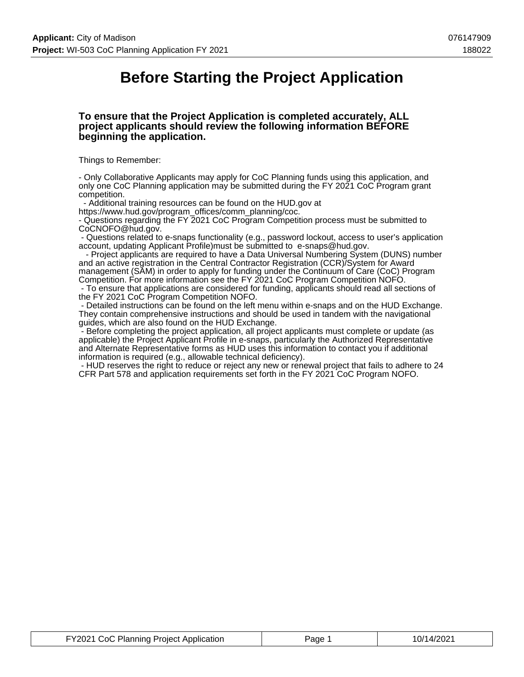## **Before Starting the Project Application**

#### **To ensure that the Project Application is completed accurately, ALL project applicants should review the following information BEFORE beginning the application.**

Things to Remember:

- Only Collaborative Applicants may apply for CoC Planning funds using this application, and only one CoC Planning application may be submitted during the FY 2021 CoC Program grant competition.

- Additional training resources can be found on the HUD.gov at

https://www.hud.gov/program\_offices/comm\_planning/coc.

- Questions regarding the FY 2021 CoC Program Competition process must be submitted to CoCNOFO@hud.gov.

 - Questions related to e-snaps functionality (e.g., password lockout, access to user's application account, updating Applicant Profile)must be submitted to e-snaps@hud.gov.

 - Project applicants are required to have a Data Universal Numbering System (DUNS) number and an active registration in the Central Contractor Registration (CCR)/System for Award management (SAM) in order to apply for funding under the Continuum of Care (CoC) Program Competition. For more information see the FY 2021 CoC Program Competition NOFO.

 - To ensure that applications are considered for funding, applicants should read all sections of the FY 2021 CoC Program Competition NOFO.

 - Detailed instructions can be found on the left menu within e-snaps and on the HUD Exchange. They contain comprehensive instructions and should be used in tandem with the navigational guides, which are also found on the HUD Exchange.

 - Before completing the project application, all project applicants must complete or update (as applicable) the Project Applicant Profile in e-snaps, particularly the Authorized Representative and Alternate Representative forms as HUD uses this information to contact you if additional information is required (e.g., allowable technical deficiency).

 - HUD reserves the right to reduce or reject any new or renewal project that fails to adhere to 24 CFR Part 578 and application requirements set forth in the FY 2021 CoC Program NOFO.

| FY2021 CoC Planning Project Application | Page 1 | 10/14/2021 |
|-----------------------------------------|--------|------------|
|-----------------------------------------|--------|------------|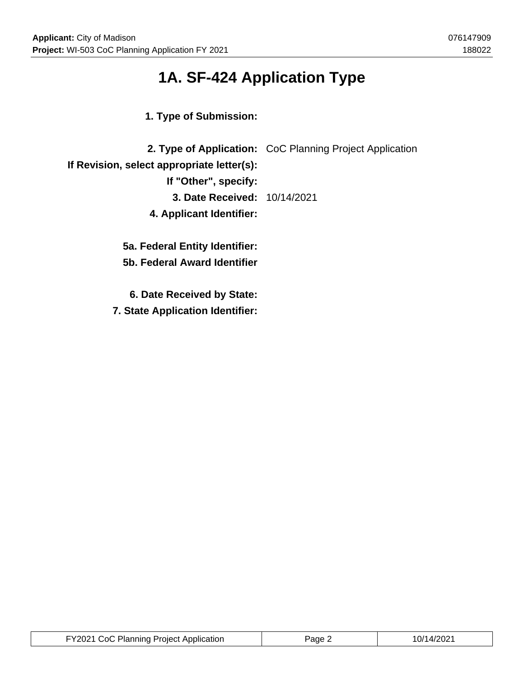# **1A. SF-424 Application Type**

**1. Type of Submission:**

|                                            | 2. Type of Application: CoC Planning Project Application |
|--------------------------------------------|----------------------------------------------------------|
| If Revision, select appropriate letter(s): |                                                          |
| If "Other", specify:                       |                                                          |
| <b>3. Date Received: 10/14/2021</b>        |                                                          |
| 4. Applicant Identifier:                   |                                                          |
|                                            |                                                          |
| 5a. Federal Entity Identifier:             |                                                          |

**5b. Federal Award Identifier**

**6. Date Received by State:**

**7. State Application Identifier:**

| FY2021 CoC Planning Project Application | Page 2 | 10/14/2021 |
|-----------------------------------------|--------|------------|
|-----------------------------------------|--------|------------|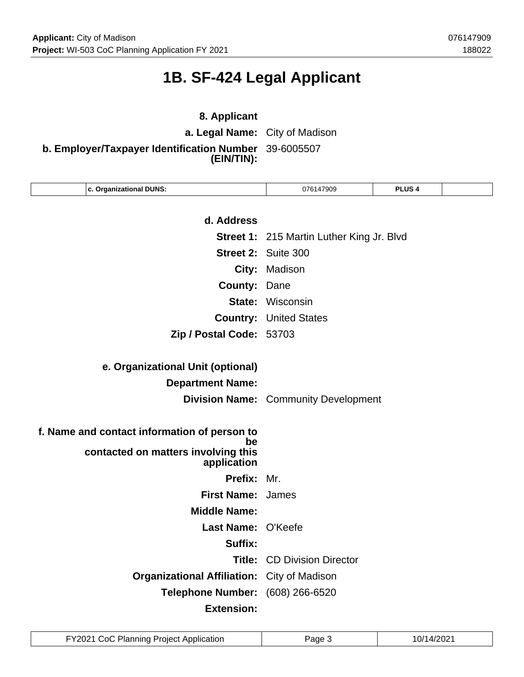## **1B. SF-424 Legal Applicant**

## **8. Applicant a. Legal Name:** City of Madison **b. Employer/Taxpayer Identification Number** 39-6005507 **(EIN/TIN):**

| c. Organizational DUNS:                                  | 076147909                                        | <b>PLUS4</b> |  |
|----------------------------------------------------------|--------------------------------------------------|--------------|--|
|                                                          |                                                  |              |  |
| d. Address                                               |                                                  |              |  |
|                                                          | <b>Street 1: 215 Martin Luther King Jr. Blvd</b> |              |  |
|                                                          | Street 2: Suite 300                              |              |  |
|                                                          | City: Madison                                    |              |  |
| <b>County:</b>                                           | Dane                                             |              |  |
|                                                          | <b>State: Wisconsin</b>                          |              |  |
|                                                          | <b>Country: United States</b>                    |              |  |
| Zip / Postal Code: 53703                                 |                                                  |              |  |
|                                                          |                                                  |              |  |
| e. Organizational Unit (optional)                        |                                                  |              |  |
| <b>Department Name:</b>                                  |                                                  |              |  |
|                                                          | <b>Division Name:</b> Community Development      |              |  |
|                                                          |                                                  |              |  |
| f. Name and contact information of person to             |                                                  |              |  |
| be<br>contacted on matters involving this<br>application |                                                  |              |  |
| Prefix: Mr.                                              |                                                  |              |  |
| <b>First Name:</b>                                       | James                                            |              |  |
| <b>Middle Name:</b>                                      |                                                  |              |  |
| Last Name: O'Keefe                                       |                                                  |              |  |
| Suffix:                                                  |                                                  |              |  |
| Title:                                                   | <b>CD Division Director</b>                      |              |  |
| <b>Organizational Affiliation:</b> City of Madison       |                                                  |              |  |
| <b>Telephone Number:</b>                                 | (608) 266-6520                                   |              |  |
| <b>Extension:</b>                                        |                                                  |              |  |

| FY2021 CoC Planning Project Application | Page | 10/14/2021 |
|-----------------------------------------|------|------------|
|-----------------------------------------|------|------------|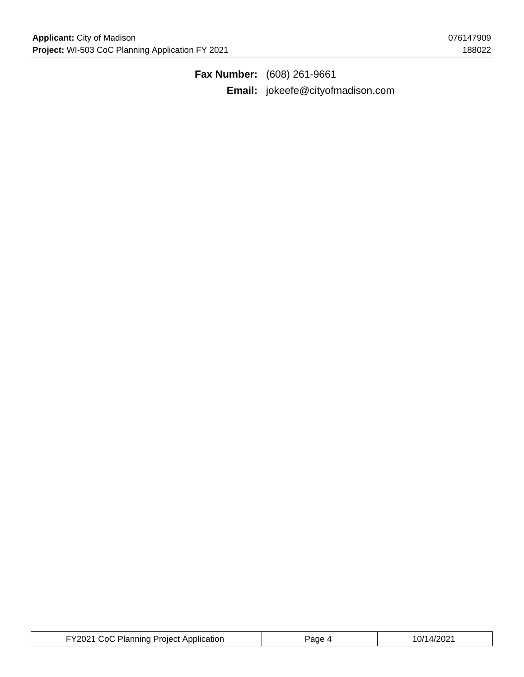**Fax Number:** (608) 261-9661 **Email:** jokeefe@cityofmadison.com

| FY2021 CoC Planning Project Application | Page 4 | 10/14/2021 |
|-----------------------------------------|--------|------------|
|-----------------------------------------|--------|------------|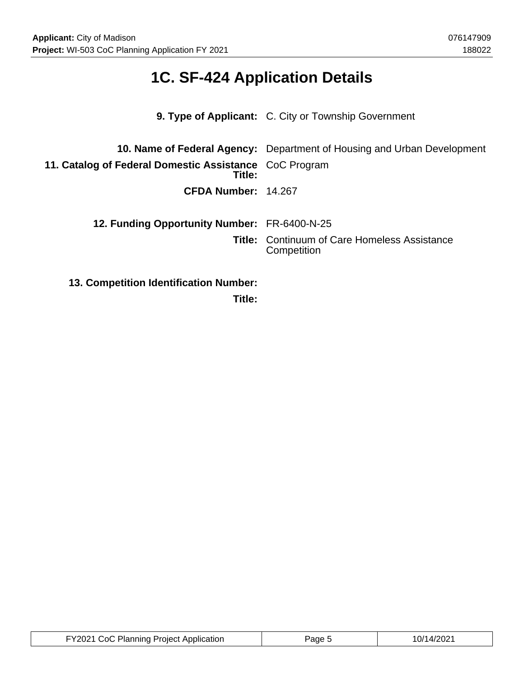# **1C. SF-424 Application Details**

|                                                                  | 9. Type of Applicant: C. City or Township Government                           |
|------------------------------------------------------------------|--------------------------------------------------------------------------------|
|                                                                  |                                                                                |
|                                                                  | <b>10. Name of Federal Agency:</b> Department of Housing and Urban Development |
| 11. Catalog of Federal Domestic Assistance CoC Program<br>Title: |                                                                                |
| CFDA Number: 14.267                                              |                                                                                |
|                                                                  |                                                                                |
| 12. Funding Opportunity Number: FR-6400-N-25                     |                                                                                |
|                                                                  | <b>Title:</b> Continuum of Care Homeless Assistance<br>Competition             |
| 13. Competition Identification Number:                           |                                                                                |

**Title:**

| FY2021 CoC Planning Project Application | Page 5 | 10/14/2021 |
|-----------------------------------------|--------|------------|
|-----------------------------------------|--------|------------|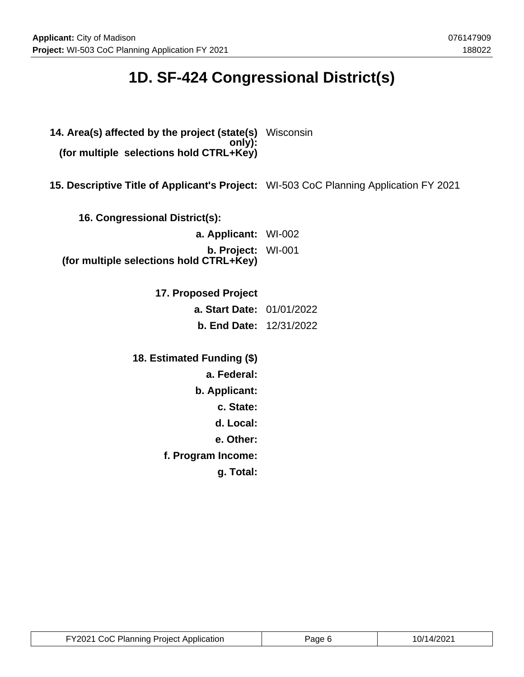## **1D. SF-424 Congressional District(s)**

- **14. Area(s) affected by the project (state(s)** Wisconsin **only): (for multiple selections hold CTRL+Key)**
- **15. Descriptive Title of Applicant's Project:** WI-503 CoC Planning Application FY 2021
	- **16. Congressional District(s):**

| a. Applicant: WI-002                                                 |  |
|----------------------------------------------------------------------|--|
| <b>b. Project:</b> WI-001<br>(for multiple selections hold CTRL+Key) |  |
|                                                                      |  |

- **17. Proposed Project a. Start Date:** 01/01/2022 **b. End Date:** 12/31/2022
- **18. Estimated Funding (\$) a. Federal: b. Applicant: c. State: d. Local: e. Other: f. Program Income: g. Total:**

| FY2021 CoC Planning Project Application | Page 6 | 10/14/2021 |
|-----------------------------------------|--------|------------|
|-----------------------------------------|--------|------------|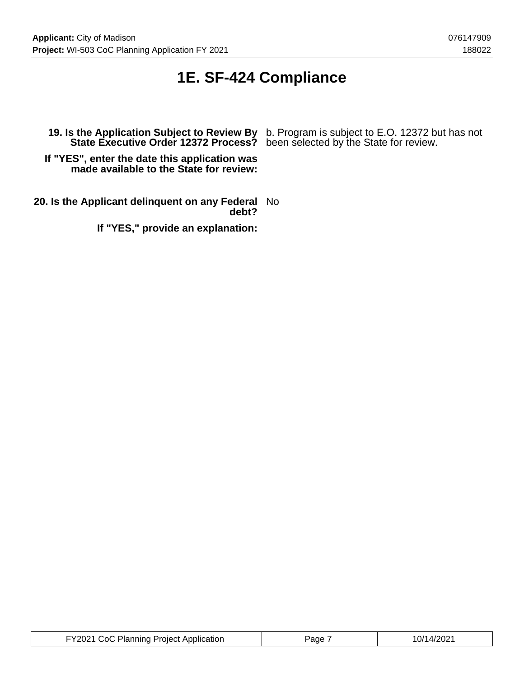## **1E. SF-424 Compliance**

**If "YES", enter the date this application was made available to the State for review:**

**20. Is the Applicant delinquent on any Federal** No **debt?**

**If "YES," provide an explanation:**

**19. Is the Application Subject to Review By** b. Program is subject to E.O. 12372 but has not **State Executive Order 12372 Process?** been selected by the State for review.

| FY2021 CoC Planning Project Application | Paɑe | 10/14/2021 |
|-----------------------------------------|------|------------|
|-----------------------------------------|------|------------|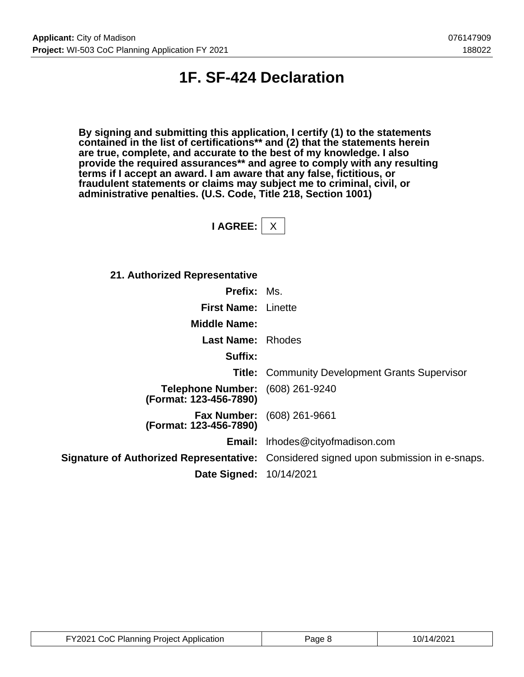## **1F. SF-424 Declaration**

**By signing and submitting this application, I certify (1) to the statements contained in the list of certifications\*\* and (2) that the statements herein are true, complete, and accurate to the best of my knowledge. I also provide the required assurances\*\* and agree to comply with any resulting terms if I accept an award. I am aware that any false, fictitious, or fraudulent statements or claims may subject me to criminal, civil, or administrative penalties. (U.S. Code, Title 218, Section 1001)**

**I AGREE:** X

**21. Authorized Representative**

| <b>Prefix: Ms.</b>                                 |                                                                                       |
|----------------------------------------------------|---------------------------------------------------------------------------------------|
| <b>First Name: Linette</b>                         |                                                                                       |
| <b>Middle Name:</b>                                |                                                                                       |
| <b>Last Name: Rhodes</b>                           |                                                                                       |
| Suffix:                                            |                                                                                       |
|                                                    | <b>Title:</b> Community Development Grants Supervisor                                 |
| <b>Telephone Number:</b><br>(Format: 123-456-7890) | (608) 261-9240                                                                        |
| (Format: 123-456-7890)                             | <b>Fax Number:</b> (608) 261-9661                                                     |
|                                                    | Email: Irhodes@cityofmadison.com                                                      |
|                                                    | Signature of Authorized Representative: Considered signed upon submission in e-snaps. |
| <b>Date Signed: 10/14/2021</b>                     |                                                                                       |

| FY2021 CoC Planning Project Application | Page 8 | 10/14/2021 |
|-----------------------------------------|--------|------------|
|-----------------------------------------|--------|------------|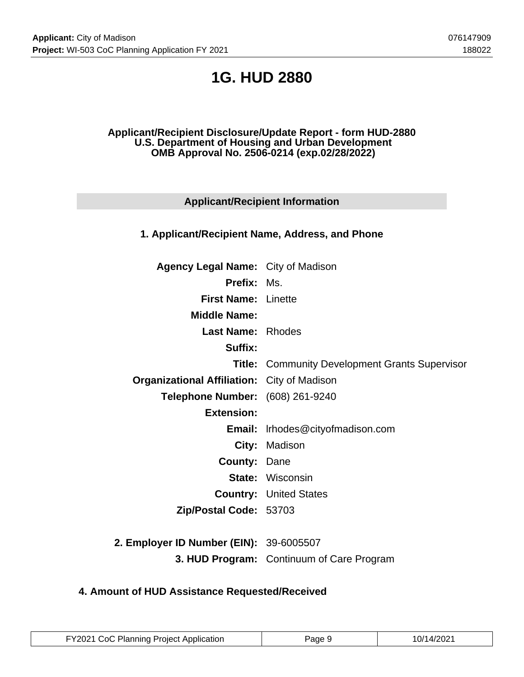## **1G. HUD 2880**

#### **Applicant/Recipient Disclosure/Update Report - form HUD-2880 U.S. Department of Housing and Urban Development OMB Approval No. 2506-0214 (exp.02/28/2022)**

### **Applicant/Recipient Information**

### **1. Applicant/Recipient Name, Address, and Phone**

| <b>Agency Legal Name:</b> City of Madison          |                                                       |
|----------------------------------------------------|-------------------------------------------------------|
| <b>Prefix: Ms.</b>                                 |                                                       |
| <b>First Name: Linette</b>                         |                                                       |
| <b>Middle Name:</b>                                |                                                       |
| <b>Last Name: Rhodes</b>                           |                                                       |
| <b>Suffix:</b>                                     |                                                       |
|                                                    | <b>Title: Community Development Grants Supervisor</b> |
| <b>Organizational Affiliation:</b> City of Madison |                                                       |
| Telephone Number: (608) 261-9240                   |                                                       |
| <b>Extension:</b>                                  |                                                       |
|                                                    | Email: Irhodes@cityofmadison.com                      |
|                                                    | City: Madison                                         |
| <b>County: Dane</b>                                |                                                       |
|                                                    | <b>State: Wisconsin</b>                               |
|                                                    | <b>Country: United States</b>                         |
| Zip/Postal Code: 53703                             |                                                       |
|                                                    |                                                       |
| Employer ID Number (EIN): 39-6005507               |                                                       |

**2. Employer ID Number (EIN):** 39-6005507 **3. HUD Program:** Continuum of Care Program

### **4. Amount of HUD Assistance Requested/Received**

| FY2021 CoC Planning Project Application | Page 9 | 10/14/2021 |
|-----------------------------------------|--------|------------|
|-----------------------------------------|--------|------------|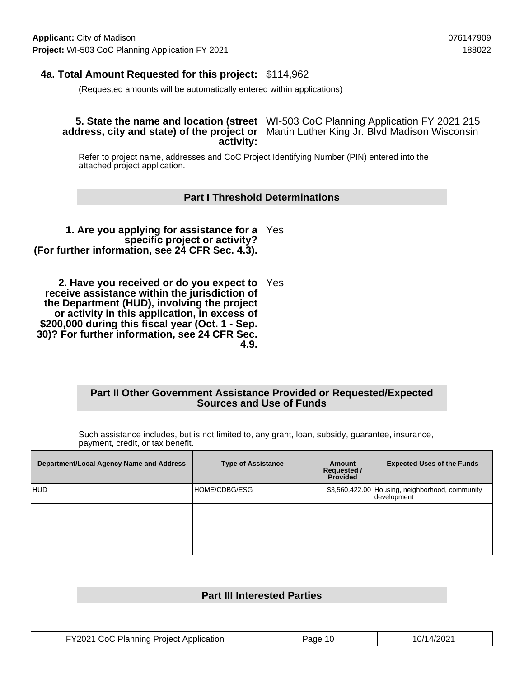### **4a. Total Amount Requested for this project:** \$114,962

(Requested amounts will be automatically entered within applications)

#### **5. State the name and location (street** WI-503 CoC Planning Application FY 2021 215 address, city and state) of the project or Martin Luther King Jr. Blvd Madison Wisconsin **activity:**

Refer to project name, addresses and CoC Project Identifying Number (PIN) entered into the attached project application.

#### **Part I Threshold Determinations**

**1. Are you applying for assistance for a** Yes **specific project or activity? (For further information, see 24 CFR Sec. 4.3).**

**2. Have you received or do you expect to** Yes **receive assistance within the jurisdiction of the Department (HUD), involving the project or activity in this application, in excess of \$200,000 during this fiscal year (Oct. 1 - Sep. 30)? For further information, see 24 CFR Sec. 4.9.**

#### **Part II Other Government Assistance Provided or Requested/Expected Sources and Use of Funds**

Such assistance includes, but is not limited to, any grant, loan, subsidy, guarantee, insurance, payment, credit, or tax benefit.

| Department/Local Agency Name and Address | <b>Type of Assistance</b> | Amount<br><b>Requested /</b><br>Provided | <b>Expected Uses of the Funds</b>                              |
|------------------------------------------|---------------------------|------------------------------------------|----------------------------------------------------------------|
| HUD                                      | HOME/CDBG/ESG             |                                          | \$3,560,422.00 Housing, neighborhood, community<br>development |
|                                          |                           |                                          |                                                                |
|                                          |                           |                                          |                                                                |
|                                          |                           |                                          |                                                                |
|                                          |                           |                                          |                                                                |

### **Part III Interested Parties**

| FY2021 CoC Planning Project Application | Page 10 | 10/14/2021 |
|-----------------------------------------|---------|------------|
|-----------------------------------------|---------|------------|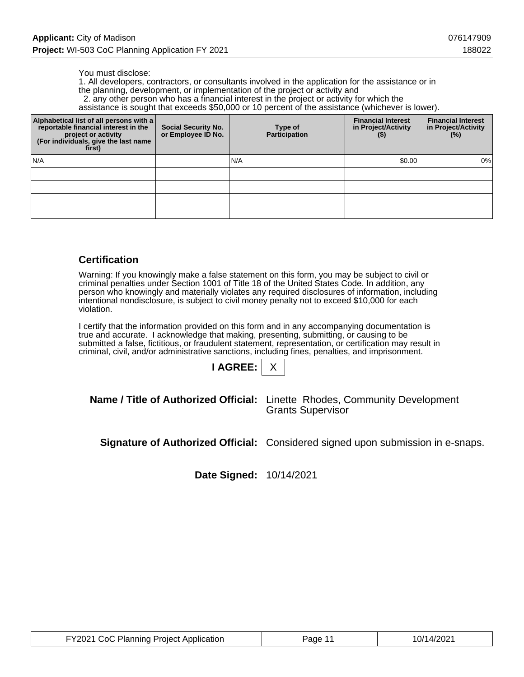#### You must disclose:

1. All developers, contractors, or consultants involved in the application for the assistance or in the planning, development, or implementation of the project or activity and

2. any other person who has a financial interest in the project or activity for which the

assistance is sought that exceeds \$50,000 or 10 percent of the assistance (whichever is lower).

| Alphabetical list of all persons with a<br>reportable financial interest in the<br>project or activity<br>(For individuals, give the last name<br>first) | <b>Social Security No.</b><br>or Employee ID No. | Type of<br><b>Participation</b> | <b>Financial Interest</b><br>in Project/Activity<br>$($ \$) | <b>Financial Interest</b><br>in Project/Activity<br>$(\%)$ |
|----------------------------------------------------------------------------------------------------------------------------------------------------------|--------------------------------------------------|---------------------------------|-------------------------------------------------------------|------------------------------------------------------------|
| N/A                                                                                                                                                      |                                                  | N/A                             | \$0.00                                                      | 0%                                                         |
|                                                                                                                                                          |                                                  |                                 |                                                             |                                                            |
|                                                                                                                                                          |                                                  |                                 |                                                             |                                                            |
|                                                                                                                                                          |                                                  |                                 |                                                             |                                                            |
|                                                                                                                                                          |                                                  |                                 |                                                             |                                                            |

#### **Certification**

Warning: If you knowingly make a false statement on this form, you may be subject to civil or criminal penalties under Section 1001 of Title 18 of the United States Code. In addition, any person who knowingly and materially violates any required disclosures of information, including intentional nondisclosure, is subject to civil money penalty not to exceed \$10,000 for each violation.

I certify that the information provided on this form and in any accompanying documentation is true and accurate. I acknowledge that making, presenting, submitting, or causing to be submitted a false, fictitious, or fraudulent statement, representation, or certification may result in criminal, civil, and/or administrative sanctions, including fines, penalties, and imprisonment.

**I AGREE:** X

**Name / Title of Authorized Official:** Linette Rhodes, Community Development Grants Supervisor

**Signature of Authorized Official:** Considered signed upon submission in e-snaps.

**Date Signed:** 10/14/2021

| FY2021 CoC Planning Project Application | Page 11 | 10/14/2021 |
|-----------------------------------------|---------|------------|
|-----------------------------------------|---------|------------|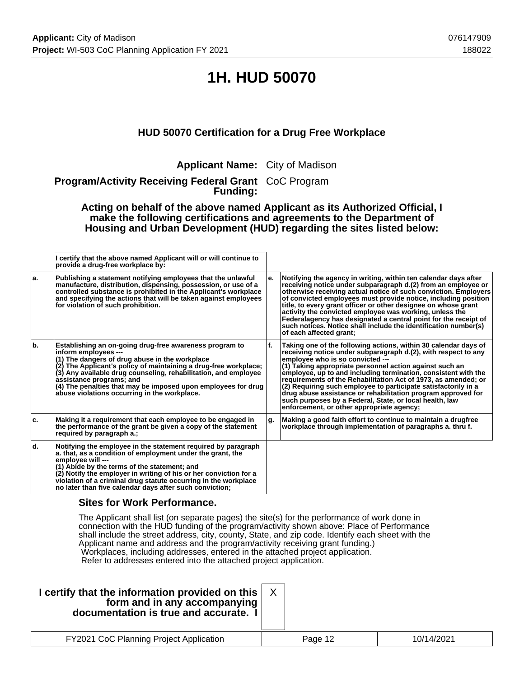## **1H. HUD 50070**

### **HUD 50070 Certification for a Drug Free Workplace**

**Applicant Name:** City of Madison

**Program/Activity Receiving Federal Grant** CoC Program **Funding:**

**Acting on behalf of the above named Applicant as its Authorized Official, I make the following certifications and agreements to the Department of Housing and Urban Development (HUD) regarding the sites listed below:**

|     | I certify that the above named Applicant will or will continue to<br>provide a drug-free workplace by:                                                                                                                                                                                                                                                                                                                |     |                                                                                                                                                                                                                                                                                                                                                                                                                                                                                                                                                                                                                    |
|-----|-----------------------------------------------------------------------------------------------------------------------------------------------------------------------------------------------------------------------------------------------------------------------------------------------------------------------------------------------------------------------------------------------------------------------|-----|--------------------------------------------------------------------------------------------------------------------------------------------------------------------------------------------------------------------------------------------------------------------------------------------------------------------------------------------------------------------------------------------------------------------------------------------------------------------------------------------------------------------------------------------------------------------------------------------------------------------|
| ۱a. | Publishing a statement notifying employees that the unlawful<br>manufacture, distribution, dispensing, possession, or use of a<br>controlled substance is prohibited in the Applicant's workplace<br>and specifying the actions that will be taken against employees<br>for violation of such prohibition.                                                                                                            | е.  | Notifying the agency in writing, within ten calendar days after<br>receiving notice under subparagraph d.(2) from an employee or<br>otherwise receiving actual notice of such conviction. Employers<br>of convicted employees must provide notice, including position<br>title, to every grant officer or other designee on whose grant<br>activity the convicted employee was working, unless the<br>Federalagency has designated a central point for the receipt of<br>such notices. Notice shall include the identification number(s)<br>of each affected grant:                                                |
| b.  | Establishing an on-going drug-free awareness program to<br>inform employees ---<br>(1) The dangers of drug abuse in the workplace<br>(2) The Applicant's policy of maintaining a drug-free workplace;<br>(3) Any available drug counseling, rehabilitation, and employee<br>assistance programs; and<br>(4) The penalties that may be imposed upon employees for drug<br>abuse violations occurring in the workplace. | ١f. | Taking one of the following actions, within 30 calendar days of<br>receiving notice under subparagraph d.(2), with respect to any<br>employee who is so convicted ---<br>$(1)$ Taking appropriate personnel action against such an<br>employee, up to and including termination, consistent with the<br>requirements of the Rehabilitation Act of 1973, as amended; or<br>$(2)$ Requiring such employee to participate satisfactorily in a<br>drug abuse assistance or rehabilitation program approved for<br>such purposes by a Federal, State, or local health, law<br>enforcement, or other appropriate agency; |
| ۱c. | Making it a requirement that each employee to be engaged in<br>the performance of the grant be given a copy of the statement<br>required by paragraph a.;                                                                                                                                                                                                                                                             | g.  | Making a good faith effort to continue to maintain a drugfree<br>workplace through implementation of paragraphs a. thru f.                                                                                                                                                                                                                                                                                                                                                                                                                                                                                         |
| ۱d. | Notifying the employee in the statement required by paragraph<br>a. that, as a condition of employment under the grant, the<br>employee will ---<br>(1) Abide by the terms of the statement; and<br>(2) Notify the employer in writing of his or her conviction for a<br>violation of a criminal drug statute occurring in the workplace<br>no later than five calendar days after such conviction;                   |     |                                                                                                                                                                                                                                                                                                                                                                                                                                                                                                                                                                                                                    |

### **Sites for Work Performance.**

The Applicant shall list (on separate pages) the site(s) for the performance of work done in connection with the HUD funding of the program/activity shown above: Place of Performance shall include the street address, city, county, State, and zip code. Identify each sheet with the Applicant name and address and the program/activity receiving grant funding.) Workplaces, including addresses, entered in the attached project application. Refer to addresses entered into the attached project application.

| I certify that the information provided on this  <br>form and in any accompanying<br>documentation is true and accurate. I |         |            |
|----------------------------------------------------------------------------------------------------------------------------|---------|------------|
| FY2021 CoC Planning Project Application                                                                                    | Page 12 | 10/14/2021 |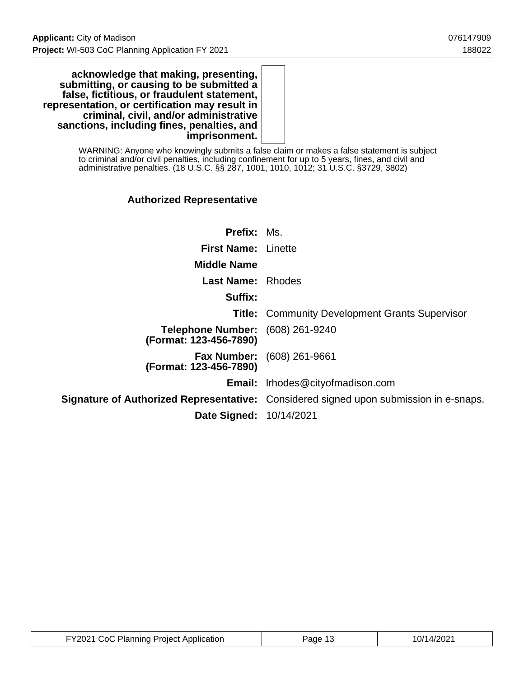**acknowledge that making, presenting, submitting, or causing to be submitted a false, fictitious, or fraudulent statement, representation, or certification may result in criminal, civil, and/or administrative sanctions, including fines, penalties, and imprisonment.**

> WARNING: Anyone who knowingly submits a false claim or makes a false statement is subject to criminal and/or civil penalties, including confinement for up to 5 years, fines, and civil and administrative penalties. (18 U.S.C. §§ 287, 1001, 1010, 1012; 31 U.S.C. §3729, 3802)

### **Authorized Representative**

| <b>Prefix: Ms.</b>                                                |                                                                                       |
|-------------------------------------------------------------------|---------------------------------------------------------------------------------------|
| <b>First Name: Linette</b>                                        |                                                                                       |
| <b>Middle Name</b>                                                |                                                                                       |
| <b>Last Name: Rhodes</b>                                          |                                                                                       |
| Suffix:                                                           |                                                                                       |
|                                                                   | <b>Title:</b> Community Development Grants Supervisor                                 |
| <b>Telephone Number:</b> (608) 261-9240<br>(Format: 123-456-7890) |                                                                                       |
| (Format: 123-456-7890)                                            | <b>Fax Number:</b> (608) 261-9661                                                     |
|                                                                   | <b>Email:</b> Irhodes@cityofmadison.com                                               |
|                                                                   | Signature of Authorized Representative: Considered signed upon submission in e-snaps. |
| <b>Date Signed: 10/14/2021</b>                                    |                                                                                       |

| FY2021 CoC Planning Project Application | Page 13 | 10/14/2021 |
|-----------------------------------------|---------|------------|
|-----------------------------------------|---------|------------|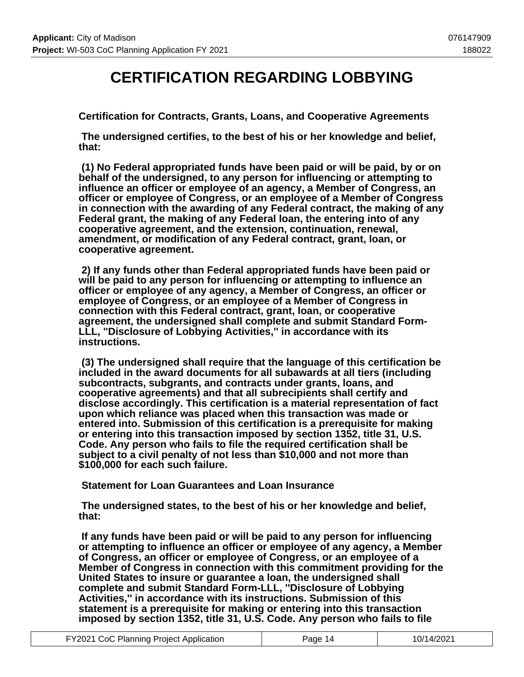## **CERTIFICATION REGARDING LOBBYING**

**Certification for Contracts, Grants, Loans, and Cooperative Agreements**

 **The undersigned certifies, to the best of his or her knowledge and belief, that:**

 **(1) No Federal appropriated funds have been paid or will be paid, by or on behalf of the undersigned, to any person for influencing or attempting to influence an officer or employee of an agency, a Member of Congress, an officer or employee of Congress, or an employee of a Member of Congress in connection with the awarding of any Federal contract, the making of any Federal grant, the making of any Federal loan, the entering into of any cooperative agreement, and the extension, continuation, renewal, amendment, or modification of any Federal contract, grant, loan, or cooperative agreement.**

 **2) If any funds other than Federal appropriated funds have been paid or will be paid to any person for influencing or attempting to influence an officer or employee of any agency, a Member of Congress, an officer or employee of Congress, or an employee of a Member of Congress in connection with this Federal contract, grant, loan, or cooperative agreement, the undersigned shall complete and submit Standard Form-LLL, ''Disclosure of Lobbying Activities,'' in accordance with its instructions.**

 **(3) The undersigned shall require that the language of this certification be included in the award documents for all subawards at all tiers (including subcontracts, subgrants, and contracts under grants, loans, and cooperative agreements) and that all subrecipients shall certify and disclose accordingly. This certification is a material representation of fact upon which reliance was placed when this transaction was made or entered into. Submission of this certification is a prerequisite for making or entering into this transaction imposed by section 1352, title 31, U.S. Code. Any person who fails to file the required certification shall be subject to a civil penalty of not less than \$10,000 and not more than \$100,000 for each such failure.**

 **Statement for Loan Guarantees and Loan Insurance**

 **The undersigned states, to the best of his or her knowledge and belief, that:**

 **If any funds have been paid or will be paid to any person for influencing or attempting to influence an officer or employee of any agency, a Member of Congress, an officer or employee of Congress, or an employee of a Member of Congress in connection with this commitment providing for the United States to insure or guarantee a loan, the undersigned shall complete and submit Standard Form-LLL, ''Disclosure of Lobbying Activities,'' in accordance with its instructions. Submission of this statement is a prerequisite for making or entering into this transaction imposed by section 1352, title 31, U.S. Code. Any person who fails to file**

| FY2021 CoC Planning Project Application | Page 14 | 10/14/2021 |
|-----------------------------------------|---------|------------|
|-----------------------------------------|---------|------------|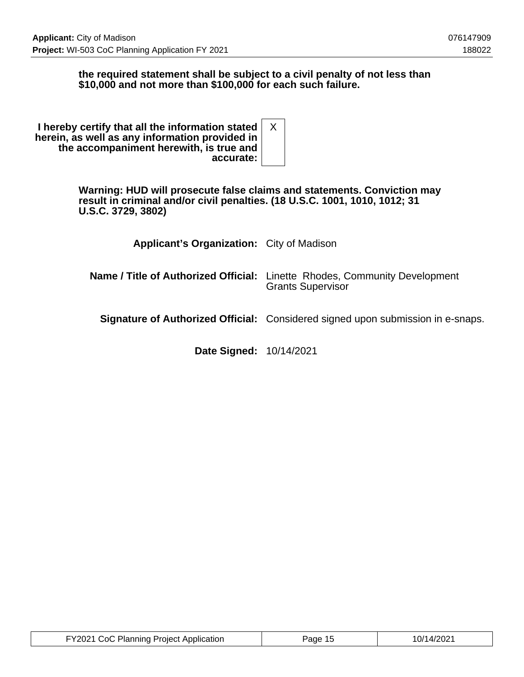### **the required statement shall be subject to a civil penalty of not less than \$10,000 and not more than \$100,000 for each such failure.**

| I hereby certify that all the information stated $ X $<br>herein, as well as any information provided in<br>the accompaniment herewith, is true and<br>accurate: |  |  |
|------------------------------------------------------------------------------------------------------------------------------------------------------------------|--|--|
|------------------------------------------------------------------------------------------------------------------------------------------------------------------|--|--|

**Warning: HUD will prosecute false claims and statements. Conviction may result in criminal and/or civil penalties. (18 U.S.C. 1001, 1010, 1012; 31 U.S.C. 3729, 3802)**

| <b>Applicant's Organization:</b> City of Madison |                                                                                                               |
|--------------------------------------------------|---------------------------------------------------------------------------------------------------------------|
|                                                  | <b>Name / Title of Authorized Official:</b> Linette Rhodes, Community Development<br><b>Grants Supervisor</b> |
|                                                  | Signature of Authorized Official: Considered signed upon submission in e-snaps.                               |
|                                                  |                                                                                                               |

**Date Signed:** 10/14/2021

| FY2021 CoC Planning Project Application | Page 15 | 10/14/2021 |
|-----------------------------------------|---------|------------|
|-----------------------------------------|---------|------------|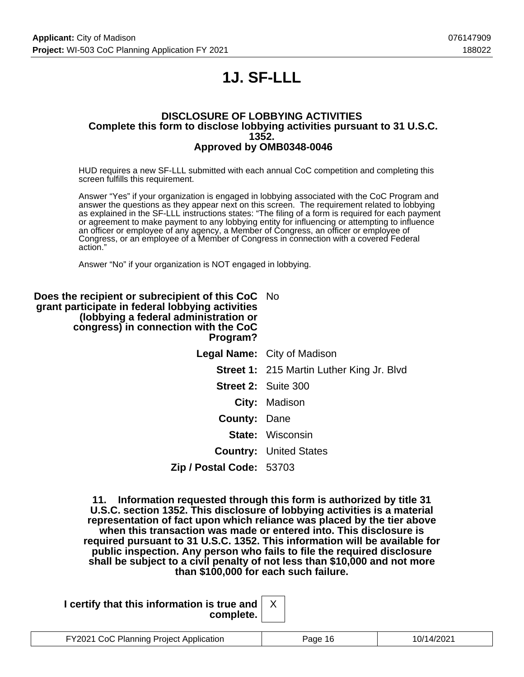# **1J. SF-LLL**

#### **DISCLOSURE OF LOBBYING ACTIVITIES Complete this form to disclose lobbying activities pursuant to 31 U.S.C. 1352. Approved by OMB0348-0046**

HUD requires a new SF-LLL submitted with each annual CoC competition and completing this screen fulfills this requirement.

Answer "Yes" if your organization is engaged in lobbying associated with the CoC Program and answer the questions as they appear next on this screen. The requirement related to lobbying as explained in the SF-LLL instructions states: "The filing of a form is required for each payment or agreement to make payment to any lobbying entity for influencing or attempting to influence an officer or employee of any agency, a Member of Congress, an officer or employee of Congress, or an employee of a Member of Congress in connection with a covered Federal action."

Answer "No" if your organization is NOT engaged in lobbying.

| Does the recipient or subrecipient of this CoC No<br>grant participate in federal lobbying activities<br>(lobbying a federal administration or<br>congress) in connection with the CoC<br>Program? |                                                  |
|----------------------------------------------------------------------------------------------------------------------------------------------------------------------------------------------------|--------------------------------------------------|
|                                                                                                                                                                                                    | <b>Legal Name:</b> City of Madison               |
|                                                                                                                                                                                                    | <b>Street 1: 215 Martin Luther King Jr. Blvd</b> |
|                                                                                                                                                                                                    | <b>Street 2: Suite 300</b>                       |
|                                                                                                                                                                                                    | City: Madison                                    |
| <b>County: Dane</b>                                                                                                                                                                                |                                                  |
|                                                                                                                                                                                                    | <b>State: Wisconsin</b>                          |
|                                                                                                                                                                                                    | <b>Country: United States</b>                    |
| Zip / Postal Code: 53703                                                                                                                                                                           |                                                  |

**11. Information requested through this form is authorized by title 31 U.S.C. section 1352. This disclosure of lobbying activities is a material representation of fact upon which reliance was placed by the tier above when this transaction was made or entered into. This disclosure is required pursuant to 31 U.S.C. 1352. This information will be available for public inspection. Any person who fails to file the required disclosure shall be subject to a civil penalty of not less than \$10,000 and not more than \$100,000 for each such failure.**

**I certify that this information is true and complete.**

|  | 1 CoC Planning Project Application<br><b>FY2021 CoC Pla.</b> | 'ane | 22001 A |
|--|--------------------------------------------------------------|------|---------|
|--|--------------------------------------------------------------|------|---------|

X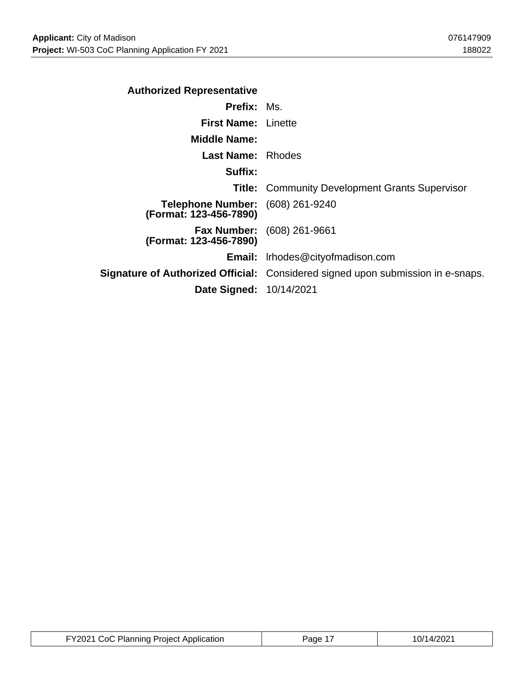| <b>Prefix: Ms.</b>                                                                     |
|----------------------------------------------------------------------------------------|
| <b>First Name: Linette</b>                                                             |
|                                                                                        |
| <b>Last Name:</b> Rhodes                                                               |
|                                                                                        |
| <b>Title: Community Development Grants Supervisor</b>                                  |
| Telephone Number: (608) 261-9240                                                       |
| <b>Fax Number:</b> (608) 261-9661                                                      |
| <b>Email:</b> Irhodes@cityofmadison.com                                                |
| <b>Signature of Authorized Official:</b> Considered signed upon submission in e-snaps. |
| <b>Date Signed: 10/14/2021</b>                                                         |
|                                                                                        |

| FY2021 CoC Planning Project Application | Page 17 | 10/14/2021 |
|-----------------------------------------|---------|------------|
|-----------------------------------------|---------|------------|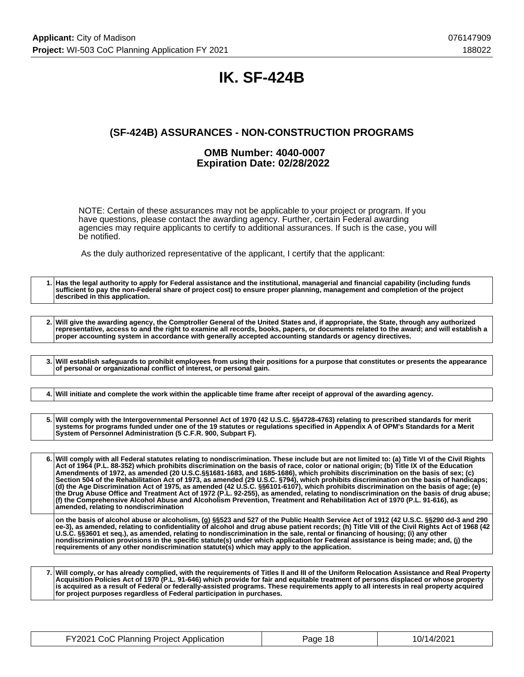## **IK. SF-424B**

### **(SF-424B) ASSURANCES - NON-CONSTRUCTION PROGRAMS**

#### **OMB Number: 4040-0007 Expiration Date: 02/28/2022**

NOTE: Certain of these assurances may not be applicable to your project or program. If you have questions, please contact the awarding agency. Further, certain Federal awarding agencies may require applicants to certify to additional assurances. If such is the case, you will be notified.

As the duly authorized representative of the applicant, I certify that the applicant:

**1. Has the legal authority to apply for Federal assistance and the institutional, managerial and financial capability (including funds sufficient to pay the non-Federal share of project cost) to ensure proper planning, management and completion of the project described in this application. 2. Will give the awarding agency, the Comptroller General of the United States and, if appropriate, the State, through any authorized representative, access to and the right to examine all records, books, papers, or documents related to the award; and will establish a proper accounting system in accordance with generally accepted accounting standards or agency directives. 3. Will establish safeguards to prohibit employees from using their positions for a purpose that constitutes or presents the appearance of personal or organizational conflict of interest, or personal gain. 4. Will initiate and complete the work within the applicable time frame after receipt of approval of the awarding agency. 5. Will comply with the Intergovernmental Personnel Act of 1970 (42 U.S.C. §§4728-4763) relating to prescribed standards for merit systems for programs funded under one of the 19 statutes or regulations specified in Appendix A of OPM's Standards for a Merit System of Personnel Administration (5 C.F.R. 900, Subpart F). 6. Will comply with all Federal statutes relating to nondiscrimination. These include but are not limited to: (a) Title VI of the Civil Rights Act of 1964 (P.L. 88-352) which prohibits discrimination on the basis of race, color or national origin; (b) Title IX of the Education Amendments of 1972, as amended (20 U.S.C.§§1681-1683, and 1685-1686), which prohibits discrimination on the basis of sex; (c) Section 504 of the Rehabilitation Act of 1973, as amended (29 U.S.C. §794), which prohibits discrimination on the basis of handicaps; (d) the Age Discrimination Act of 1975, as amended (42 U.S.C. §§6101-6107), which prohibits discrimination on the basis of age; (e) the Drug Abuse Office and Treatment Act of 1972 (P.L. 92-255), as amended, relating to nondiscrimination on the basis of drug abuse; (f) the Comprehensive Alcohol Abuse and Alcoholism Prevention, Treatment and Rehabilitation Act of 1970 (P.L. 91-616), as amended, relating to nondiscrimination on the basis of alcohol abuse or alcoholism, (g) §§523 and 527 of the Public Health Service Act of 1912 (42 U.S.C. §§290 dd-3 and 290 ee-3), as amended, relating to confidentiality of alcohol and drug abuse patient records; (h) Title VIII of the Civil Rights Act of 1968 (42 U.S.C. §§3601 et seq.), as amended, relating to nondiscrimination in the sale, rental or financing of housing; (i) any other nondiscrimination provisions in the specific statute(s) under which application for Federal assistance is being made; and, (j) the requirements of any other nondiscrimination statute(s) which may apply to the application.**

**7. Will comply, or has already complied, with the requirements of Titles II and III of the Uniform Relocation Assistance and Real Property Acquisition Policies Act of 1970 (P.L. 91-646) which provide for fair and equitable treatment of persons displaced or whose property is acquired as a result of Federal or federally-assisted programs. These requirements apply to all interests in real property acquired for project purposes regardless of Federal participation in purchases.**

| FY2021 CoC Planning Project Application | Page 18 | 10/14/2021 |
|-----------------------------------------|---------|------------|
|-----------------------------------------|---------|------------|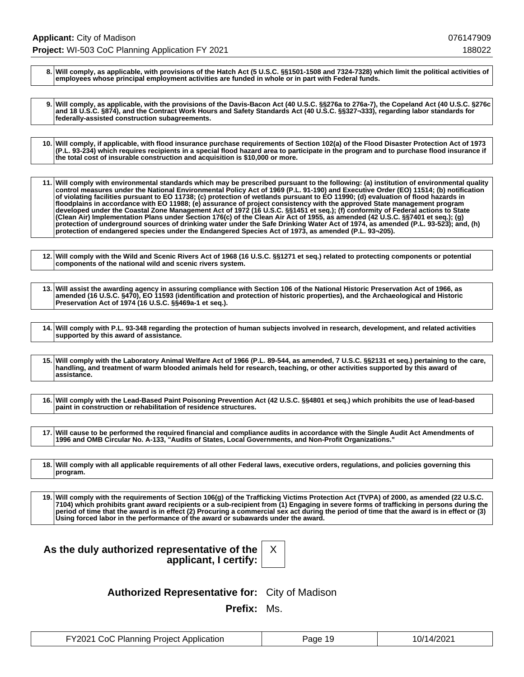**8. Will comply, as applicable, with provisions of the Hatch Act (5 U.S.C. §§1501-1508 and 7324-7328) which limit the political activities of employees whose principal employment activities are funded in whole or in part with Federal funds.**

**9. Will comply, as applicable, with the provisions of the Davis-Bacon Act (40 U.S.C. §§276a to 276a-7), the Copeland Act (40 U.S.C. §276c and 18 U.S.C. §874), and the Contract Work Hours and Safety Standards Act (40 U.S.C. §§327¬333), regarding labor standards for federally-assisted construction subagreements.**

**10. Will comply, if applicable, with flood insurance purchase requirements of Section 102(a) of the Flood Disaster Protection Act of 1973 (P.L. 93-234) which requires recipients in a special flood hazard area to participate in the program and to purchase flood insurance if the total cost of insurable construction and acquisition is \$10,000 or more.**

**11. Will comply with environmental standards which may be prescribed pursuant to the following: (a) institution of environmental quality control measures under the National Environmental Policy Act of 1969 (P.L. 91-190) and Executive Order (EO) 11514; (b) notification of violating facilities pursuant to EO 11738; (c) protection of wetlands pursuant to EO 11990; (d) evaluation of flood hazards in floodplains in accordance with EO 11988; (e) assurance of project consistency with the approved State management program developed under the Coastal Zone Management Act of 1972 (16 U.S.C. §§1451 et seq.); (f) conformity of Federal actions to State (Clean Air) Implementation Plans under Section 176(c) of the Clean Air Act of 1955, as amended (42 U.S.C. §§7401 et seq.); (g) protection of underground sources of drinking water under the Safe Drinking Water Act of 1974, as amended (P.L. 93-523); and, (h) protection of endangered species under the Endangered Species Act of 1973, as amended (P.L. 93¬205).**

**12. Will comply with the Wild and Scenic Rivers Act of 1968 (16 U.S.C. §§1271 et seq.) related to protecting components or potential components of the national wild and scenic rivers system.**

**13. Will assist the awarding agency in assuring compliance with Section 106 of the National Historic Preservation Act of 1966, as amended (16 U.S.C. §470), EO 11593 (identification and protection of historic properties), and the Archaeological and Historic Preservation Act of 1974 (16 U.S.C. §§469a-1 et seq.).**

**14. Will comply with P.L. 93-348 regarding the protection of human subjects involved in research, development, and related activities supported by this award of assistance.**

**15. Will comply with the Laboratory Animal Welfare Act of 1966 (P.L. 89-544, as amended, 7 U.S.C. §§2131 et seq.) pertaining to the care, handling, and treatment of warm blooded animals held for research, teaching, or other activities supported by this award of assistance.**

**16. Will comply with the Lead-Based Paint Poisoning Prevention Act (42 U.S.C. §§4801 et seq.) which prohibits the use of lead-based paint in construction or rehabilitation of residence structures.**

**17. Will cause to be performed the required financial and compliance audits in accordance with the Single Audit Act Amendments of 1996 and OMB Circular No. A-133, "Audits of States, Local Governments, and Non-Profit Organizations."**

**18. Will comply with all applicable requirements of all other Federal laws, executive orders, regulations, and policies governing this program.**

**19. Will comply with the requirements of Section 106(g) of the Trafficking Victims Protection Act (TVPA) of 2000, as amended (22 U.S.C. 7104) which prohibits grant award recipients or a sub-recipient from (1) Engaging in severe forms of trafficking in persons during the period of time that the award is in effect (2) Procuring a commercial sex act during the period of time that the award is in effect or (3) Using forced labor in the performance of the award or subawards under the award.**

### **As the duly authorized representative of the applicant, I certify:**

X

**Authorized Representative for:** City of Madison

**Prefix:** Ms.

| FY2021 CoC Planning Project Application | Page 19 | 10/14/2021 |
|-----------------------------------------|---------|------------|
|-----------------------------------------|---------|------------|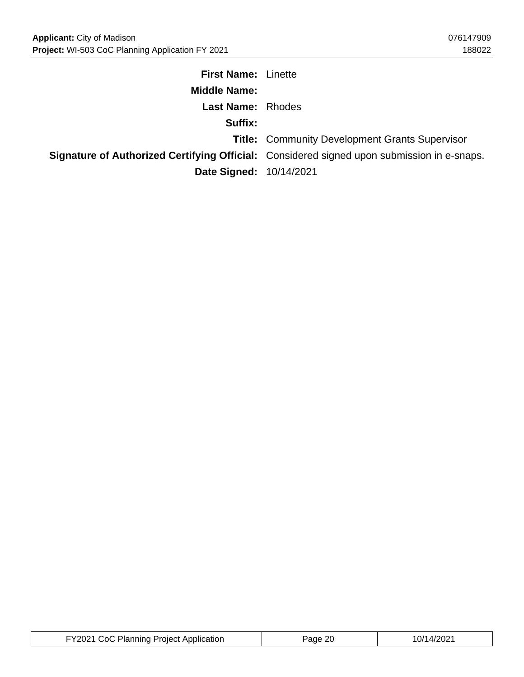| <b>First Name: Linette</b> |                                                                                                   |
|----------------------------|---------------------------------------------------------------------------------------------------|
| <b>Middle Name:</b>        |                                                                                                   |
| <b>Last Name: Rhodes</b>   |                                                                                                   |
| Suffix:                    |                                                                                                   |
|                            | <b>Title: Community Development Grants Supervisor</b>                                             |
|                            | <b>Signature of Authorized Certifying Official:</b> Considered signed upon submission in e-snaps. |
| Date Signed: 10/14/2021    |                                                                                                   |

| FY2021 CoC Planning Project Application | Page 20 | 10/14/2021 |
|-----------------------------------------|---------|------------|
|-----------------------------------------|---------|------------|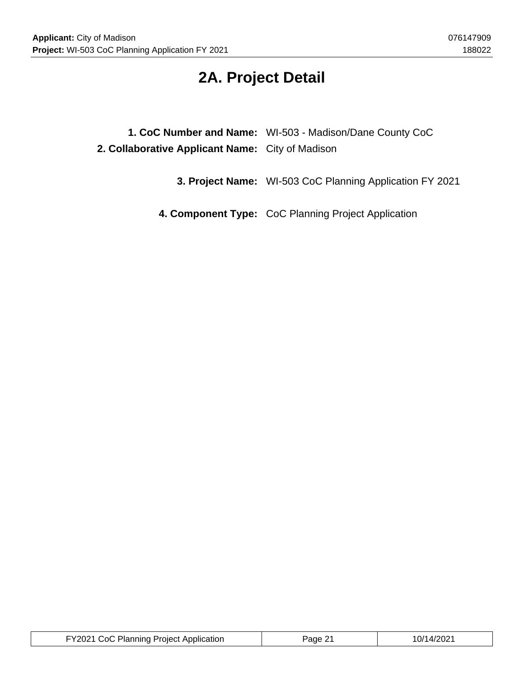## **2A. Project Detail**

|                                                  | 1. CoC Number and Name: WI-503 - Madison/Dane County CoC |
|--------------------------------------------------|----------------------------------------------------------|
| 2. Collaborative Applicant Name: City of Madison |                                                          |

**3. Project Name:** WI-503 CoC Planning Application FY 2021

**4. Component Type:** CoC Planning Project Application

| FY2021 CoC Planning Project Application | Page 21 | 10/14/2021 |
|-----------------------------------------|---------|------------|
|-----------------------------------------|---------|------------|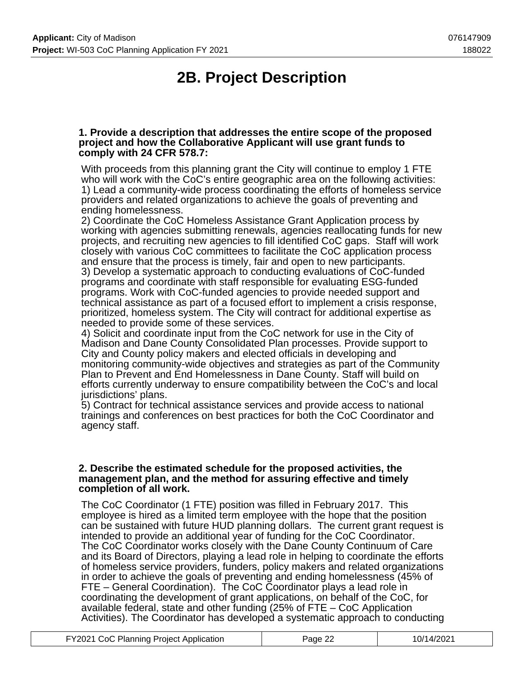# **2B. Project Description**

#### **1. Provide a description that addresses the entire scope of the proposed project and how the Collaborative Applicant will use grant funds to comply with 24 CFR 578.7:**

With proceeds from this planning grant the City will continue to employ 1 FTE who will work with the CoC's entire geographic area on the following activities: 1) Lead a community-wide process coordinating the efforts of homeless service providers and related organizations to achieve the goals of preventing and ending homelessness.

2) Coordinate the CoC Homeless Assistance Grant Application process by working with agencies submitting renewals, agencies reallocating funds for new projects, and recruiting new agencies to fill identified CoC gaps. Staff will work closely with various CoC committees to facilitate the CoC application process and ensure that the process is timely, fair and open to new participants. 3) Develop a systematic approach to conducting evaluations of CoC-funded programs and coordinate with staff responsible for evaluating ESG-funded programs. Work with CoC-funded agencies to provide needed support and technical assistance as part of a focused effort to implement a crisis response, prioritized, homeless system. The City will contract for additional expertise as needed to provide some of these services.

4) Solicit and coordinate input from the CoC network for use in the City of Madison and Dane County Consolidated Plan processes. Provide support to City and County policy makers and elected officials in developing and monitoring community-wide objectives and strategies as part of the Community Plan to Prevent and End Homelessness in Dane County. Staff will build on efforts currently underway to ensure compatibility between the CoC's and local jurisdictions' plans.

5) Contract for technical assistance services and provide access to national trainings and conferences on best practices for both the CoC Coordinator and agency staff.

#### **2. Describe the estimated schedule for the proposed activities, the management plan, and the method for assuring effective and timely completion of all work.**

The CoC Coordinator (1 FTE) position was filled in February 2017. This employee is hired as a limited term employee with the hope that the position can be sustained with future HUD planning dollars. The current grant request is intended to provide an additional year of funding for the CoC Coordinator. The CoC Coordinator works closely with the Dane County Continuum of Care and its Board of Directors, playing a lead role in helping to coordinate the efforts of homeless service providers, funders, policy makers and related organizations in order to achieve the goals of preventing and ending homelessness (45% of FTE – General Coordination). The CoC Coordinator plays a lead role in coordinating the development of grant applications, on behalf of the CoC, for available federal, state and other funding (25% of FTE – CoC Application Activities). The Coordinator has developed a systematic approach to conducting

| FY2021 CoC Planning Project Application | Page 22 | 10/14/2021 |
|-----------------------------------------|---------|------------|
|-----------------------------------------|---------|------------|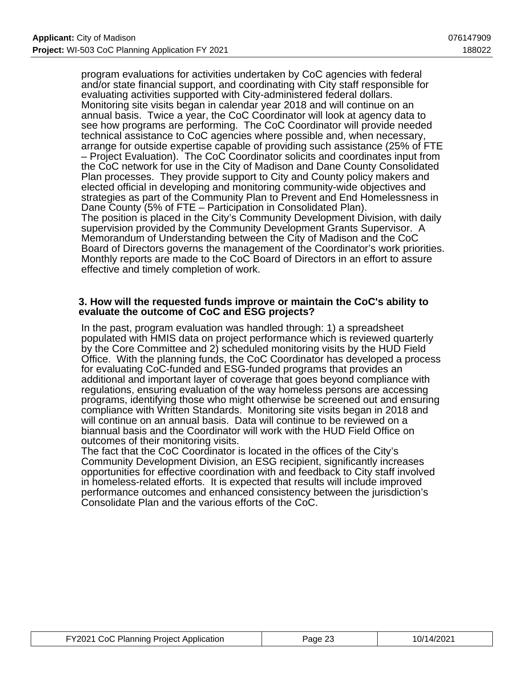program evaluations for activities undertaken by CoC agencies with federal and/or state financial support, and coordinating with City staff responsible for evaluating activities supported with City-administered federal dollars. Monitoring site visits began in calendar year 2018 and will continue on an annual basis. Twice a year, the CoC Coordinator will look at agency data to see how programs are performing. The CoC Coordinator will provide needed technical assistance to CoC agencies where possible and, when necessary, arrange for outside expertise capable of providing such assistance (25% of FTE – Project Evaluation). The CoC Coordinator solicits and coordinates input from the CoC network for use in the City of Madison and Dane County Consolidated Plan processes. They provide support to City and County policy makers and elected official in developing and monitoring community-wide objectives and strategies as part of the Community Plan to Prevent and End Homelessness in Dane County (5% of FTE – Participation in Consolidated Plan). The position is placed in the City's Community Development Division, with daily supervision provided by the Community Development Grants Supervisor. A Memorandum of Understanding between the City of Madison and the CoC Board of Directors governs the management of the Coordinator's work priorities. Monthly reports are made to the CoC Board of Directors in an effort to assure effective and timely completion of work.

#### **3. How will the requested funds improve or maintain the CoC's ability to evaluate the outcome of CoC and ESG projects?**

In the past, program evaluation was handled through: 1) a spreadsheet populated with HMIS data on project performance which is reviewed quarterly by the Core Committee and 2) scheduled monitoring visits by the HUD Field Office. With the planning funds, the CoC Coordinator has developed a process for evaluating CoC-funded and ESG-funded programs that provides an additional and important layer of coverage that goes beyond compliance with regulations, ensuring evaluation of the way homeless persons are accessing programs, identifying those who might otherwise be screened out and ensuring compliance with Written Standards. Monitoring site visits began in 2018 and will continue on an annual basis. Data will continue to be reviewed on a biannual basis and the Coordinator will work with the HUD Field Office on outcomes of their monitoring visits.

The fact that the CoC Coordinator is located in the offices of the City's Community Development Division, an ESG recipient, significantly increases opportunities for effective coordination with and feedback to City staff involved in homeless-related efforts. It is expected that results will include improved performance outcomes and enhanced consistency between the jurisdiction's Consolidate Plan and the various efforts of the CoC.

| FY2021 CoC Planning Project Application | Page 23 | 10/14/2021 |
|-----------------------------------------|---------|------------|
|-----------------------------------------|---------|------------|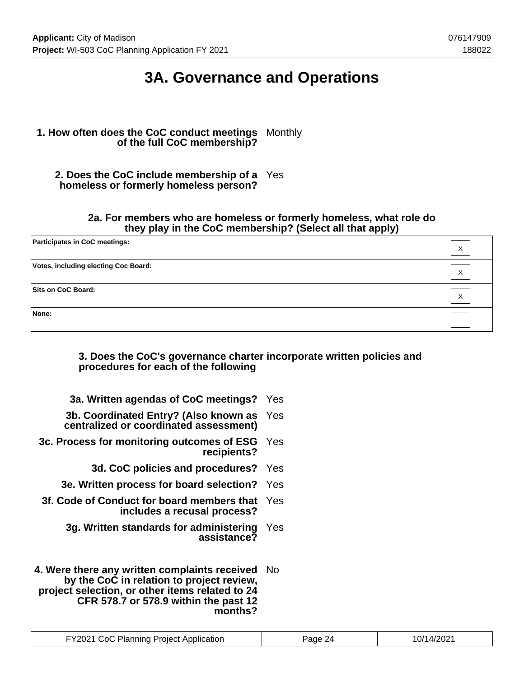## **3A. Governance and Operations**

### **1. How often does the CoC conduct meetings** Monthly **of the full CoC membership?**

**2. Does the CoC include membership of a** Yes **homeless or formerly homeless person?**

#### **2a. For members who are homeless or formerly homeless, what role do they play in the CoC membership? (Select all that apply)**

| <b>Participates in CoC meetings:</b>        | Х |
|---------------------------------------------|---|
| <b>Votes, including electing Coc Board:</b> | X |
| Sits on CoC Board:                          | Х |
| None:                                       |   |

#### **3. Does the CoC's governance charter incorporate written policies and procedures for each of the following**

| 3a. Written agendas of CoC meetings? Yes                                            |  |
|-------------------------------------------------------------------------------------|--|
| 3b. Coordinated Entry? (Also known as Yes<br>centralized or coordinated assessment) |  |
| 3c. Process for monitoring outcomes of ESG Yes<br>recipients?                       |  |
| 3d. CoC policies and procedures? Yes                                                |  |

- **3e. Written process for board selection?** Yes
- **3f. Code of Conduct for board members that** Yes **includes a recusal process?**
	- **3g. Written standards for administering** Yes **assistance?**
- **4. Were there any written complaints received** No **by the CoC in relation to project review, project selection, or other items related to 24 CFR 578.7 or 578.9 within the past 12 months?**

| <b>FY2021 CoC Planning Project Application</b> | Page 24 | 10/14/2021 |
|------------------------------------------------|---------|------------|
|------------------------------------------------|---------|------------|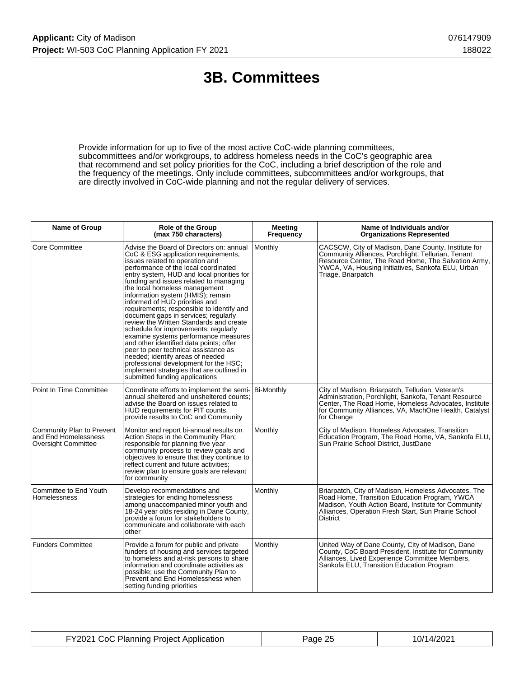## **3B. Committees**

Provide information for up to five of the most active CoC-wide planning committees, subcommittees and/or workgroups, to address homeless needs in the CoC's geographic area that recommend and set policy priorities for the CoC, including a brief description of the role and the frequency of the meetings. Only include committees, subcommittees and/or workgroups, that are directly involved in CoC-wide planning and not the regular delivery of services.

| Name of Group                                                                   | Role of the Group<br>(max 750 characters)                                                                                                                                                                                                                                                                                                                                                                                                                                                                                                                                                                                                                                                                                                                                                                                 | <b>Meeting</b><br>Frequency | Name of Individuals and/or<br><b>Organizations Represented</b>                                                                                                                                                                              |
|---------------------------------------------------------------------------------|---------------------------------------------------------------------------------------------------------------------------------------------------------------------------------------------------------------------------------------------------------------------------------------------------------------------------------------------------------------------------------------------------------------------------------------------------------------------------------------------------------------------------------------------------------------------------------------------------------------------------------------------------------------------------------------------------------------------------------------------------------------------------------------------------------------------------|-----------------------------|---------------------------------------------------------------------------------------------------------------------------------------------------------------------------------------------------------------------------------------------|
| <b>Core Committee</b>                                                           | Advise the Board of Directors on: annual<br>CoC & ESG application requirements,<br>issues related to operation and<br>performance of the local coordinated<br>entry system, HUD and local priorities for<br>funding and issues related to managing<br>the local homeless management<br>information system (HMIS); remain<br>informed of HUD priorities and<br>requirements; responsible to identify and<br>document gaps in services; regularly<br>review the Written Standards and create<br>schedule for improvements; regularly<br>examine systems performance measures<br>and other identified data points; offer<br>peer to peer technical assistance as<br>needed; identify areas of needed<br>professional development for the HSC;<br>implement strategies that are outlined in<br>submitted funding applications | Monthly                     | CACSCW, City of Madison, Dane County, Institute for<br>Community Alliances, Porchlight, Tellurian, Tenant<br>Resource Center, The Road Home, The Salvation Army,<br>YWCA, VA, Housing Initiatives, Sankofa ELU, Urban<br>Triage, Briarpatch |
| Point In Time Committee                                                         | Coordinate efforts to implement the semi- Bi-Monthly<br>annual sheltered and unsheltered counts:<br>advise the Board on issues related to<br>HUD requirements for PIT counts,<br>provide results to CoC and Community                                                                                                                                                                                                                                                                                                                                                                                                                                                                                                                                                                                                     |                             | City of Madison, Briarpatch, Tellurian, Veteran's<br>Administration, Porchlight, Sankofa, Tenant Resource<br>Center, The Road Home, Homeless Advocates, Institute<br>for Community Alliances, VA, MachOne Health, Catalyst<br>for Change    |
| Community Plan to Prevent<br>and End Homelessness<br><b>Oversight Committee</b> | Monitor and report bi-annual results on<br>Action Steps in the Community Plan;<br>responsible for planning five year<br>community process to review goals and<br>objectives to ensure that they continue to<br>reflect current and future activities;<br>review plan to ensure goals are relevant<br>for community                                                                                                                                                                                                                                                                                                                                                                                                                                                                                                        | Monthly                     | City of Madison, Homeless Advocates, Transition<br>Education Program, The Road Home, VA, Sankofa ELU,<br>Sun Prairie School District, JustDane                                                                                              |
| Committee to End Youth<br>Homelessness                                          | Develop recommendations and<br>strategies for ending homelessness<br>among unaccompanied minor youth and<br>18-24 year olds residing in Dane County,<br>provide a forum for stakeholders to<br>communicate and collaborate with each<br>other                                                                                                                                                                                                                                                                                                                                                                                                                                                                                                                                                                             | Monthly                     | Briarpatch, City of Madison, Homeless Advocates, The<br>Road Home, Transition Education Program, YWCA<br>Madison, Youth Action Board, Institute for Community<br>Alliances, Operation Fresh Start, Sun Prairie School<br><b>District</b>    |
| <b>Funders Committee</b>                                                        | Provide a forum for public and private<br>funders of housing and services targeted<br>to homeless and at-risk persons to share<br>information and coordinate activities as<br>possible; use the Community Plan to<br>Prevent and End Homelessness when<br>setting funding priorities                                                                                                                                                                                                                                                                                                                                                                                                                                                                                                                                      | Monthly                     | United Way of Dane County, City of Madison, Dane<br>County, CoC Board President, Institute for Community<br>Alliances, Lived Experience Committee Members,<br>Sankofa ELU, Transition Education Program                                     |

| FY2021 CoC Planning Project Application | Page 25 | 10/14/2021 |
|-----------------------------------------|---------|------------|
|-----------------------------------------|---------|------------|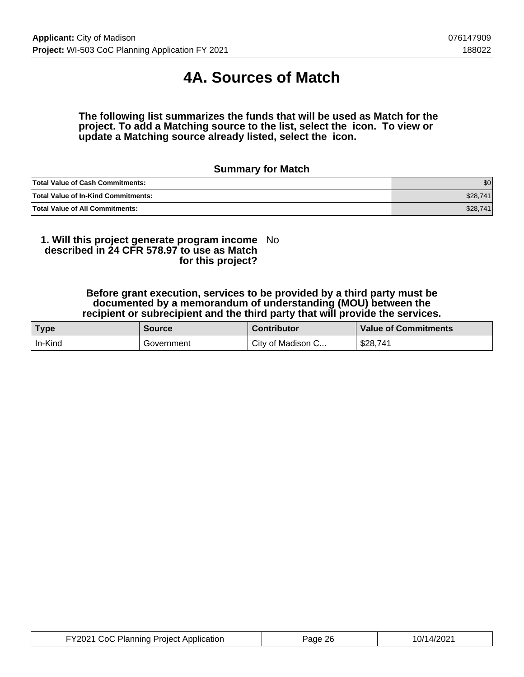## **4A. Sources of Match**

**The following list summarizes the funds that will be used as Match for the project. To add a Matching source to the list, select the icon. To view or update a Matching source already listed, select the icon.**

### **Summary for Match**

| <b>Total Value of Cash Commitments:</b>    | ا 30     |
|--------------------------------------------|----------|
| <b>Total Value of In-Kind Commitments:</b> | \$28,741 |
| <b>Total Value of All Commitments:</b>     | \$28,741 |

#### **1. Will this project generate program income described in 24 CFR 578.97 to use as Match for this project?** No

#### **Before grant execution, services to be provided by a third party must be documented by a memorandum of understanding (MOU) between the recipient or subrecipient and the third party that will provide the services.**

| <b>Type</b> | <b>Source</b> | <b>Contributor</b> | <b>Value of Commitments</b> |
|-------------|---------------|--------------------|-----------------------------|
| In-Kind     | Government    | City of Madison C  | \$28,741                    |

| FY2021 CoC Planning Project Application | Page 26 | 10/14/2021 |
|-----------------------------------------|---------|------------|
|-----------------------------------------|---------|------------|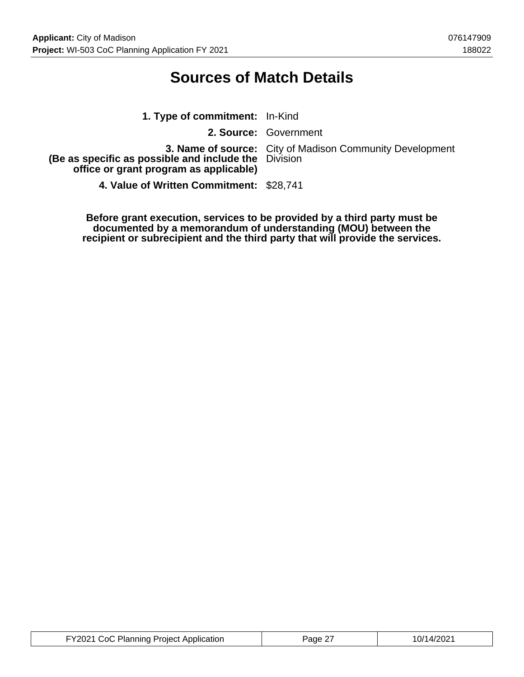## **Sources of Match Details**

| 1. Type of commitment: In-Kind                                                                 |                                                                 |
|------------------------------------------------------------------------------------------------|-----------------------------------------------------------------|
|                                                                                                | 2. Source: Government                                           |
| (Be as specific as possible and include the Division<br>office or grant program as applicable) | <b>3. Name of source:</b> City of Madison Community Development |
| 4. Value of Written Commitment: \$28,741                                                       |                                                                 |

**Before grant execution, services to be provided by a third party must be documented by a memorandum of understanding (MOU) between the recipient or subrecipient and the third party that will provide the services.**

| FY2021 CoC Planning Project Application | Page 27 | 10/14/2021 |
|-----------------------------------------|---------|------------|
|-----------------------------------------|---------|------------|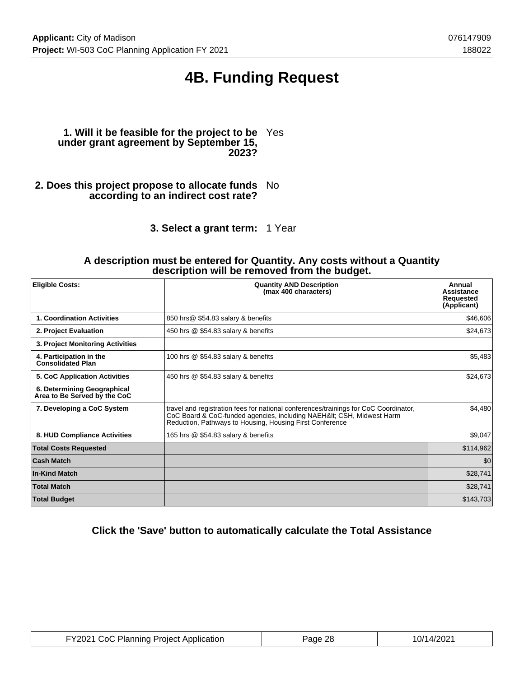## **4B. Funding Request**

#### **1. Will it be feasible for the project to be** Yes **under grant agreement by September 15, 2023?**

- **2. Does this project propose to allocate funds** No **according to an indirect cost rate?**
	- **3. Select a grant term:** 1 Year

#### **A description must be entered for Quantity. Any costs without a Quantity description will be removed from the budget.**

| <b>Eligible Costs:</b>                                      | <b>Quantity AND Description</b><br>(max 400 characters)                                                                                                                                                                  | Annual<br><b>Assistance</b><br><b>Requested</b><br>(Applicant) |
|-------------------------------------------------------------|--------------------------------------------------------------------------------------------------------------------------------------------------------------------------------------------------------------------------|----------------------------------------------------------------|
| 1. Coordination Activities                                  | 850 hrs@ \$54.83 salary & benefits                                                                                                                                                                                       | \$46,606                                                       |
| 2. Project Evaluation                                       | 450 hrs @ \$54.83 salary & benefits                                                                                                                                                                                      | \$24,673                                                       |
| 3. Project Monitoring Activities                            |                                                                                                                                                                                                                          |                                                                |
| 4. Participation in the<br><b>Consolidated Plan</b>         | 100 hrs @ \$54.83 salary & benefits                                                                                                                                                                                      | \$5,483                                                        |
| <b>5. CoC Application Activities</b>                        | 450 hrs @ \$54.83 salary & benefits                                                                                                                                                                                      | \$24,673                                                       |
| 6. Determining Geographical<br>Area to Be Served by the CoC |                                                                                                                                                                                                                          |                                                                |
| 7. Developing a CoC System                                  | travel and registration fees for national conferences/trainings for CoC Coordinator,<br>CoC Board & CoC-funded agencies, including NAEH&It CSH, Midwest Harm<br>Reduction, Pathways to Housing, Housing First Conference | \$4,480                                                        |
| 8. HUD Compliance Activities                                | 165 hrs @ \$54.83 salary & benefits                                                                                                                                                                                      | \$9,047                                                        |
| <b>Total Costs Requested</b>                                |                                                                                                                                                                                                                          | \$114,962                                                      |
| <b>Cash Match</b>                                           |                                                                                                                                                                                                                          | \$0                                                            |
| <b>In-Kind Match</b>                                        |                                                                                                                                                                                                                          | \$28,741                                                       |
| <b>Total Match</b>                                          |                                                                                                                                                                                                                          | \$28,741                                                       |
| <b>Total Budget</b>                                         |                                                                                                                                                                                                                          | \$143,703                                                      |

### **Click the 'Save' button to automatically calculate the Total Assistance**

| FY2021 CoC Planning Project Application | Page 28 | 10/14/2021 |
|-----------------------------------------|---------|------------|
|-----------------------------------------|---------|------------|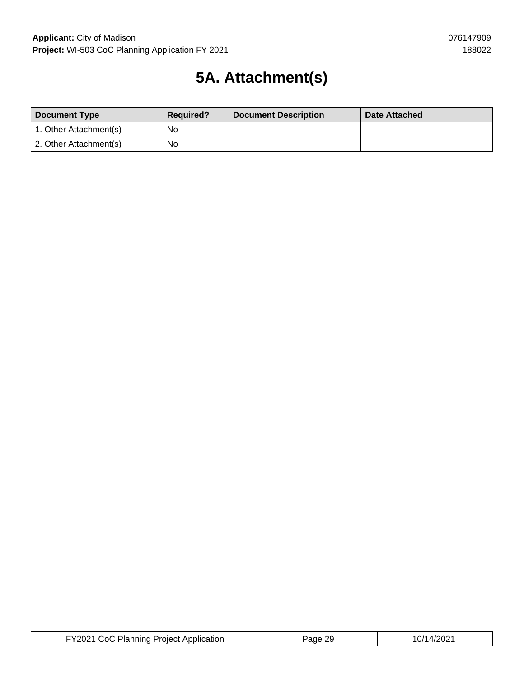# **5A. Attachment(s)**

| <b>Document Type</b>   | <b>Required?</b> | <b>Document Description</b> | <b>Date Attached</b> |
|------------------------|------------------|-----------------------------|----------------------|
| 1. Other Attachment(s) | No               |                             |                      |
| 2. Other Attachment(s) | <b>No</b>        |                             |                      |

| <b>FY2021 CoC Planning Project Application</b> | Page 29 | 10/14/2021 |
|------------------------------------------------|---------|------------|
|------------------------------------------------|---------|------------|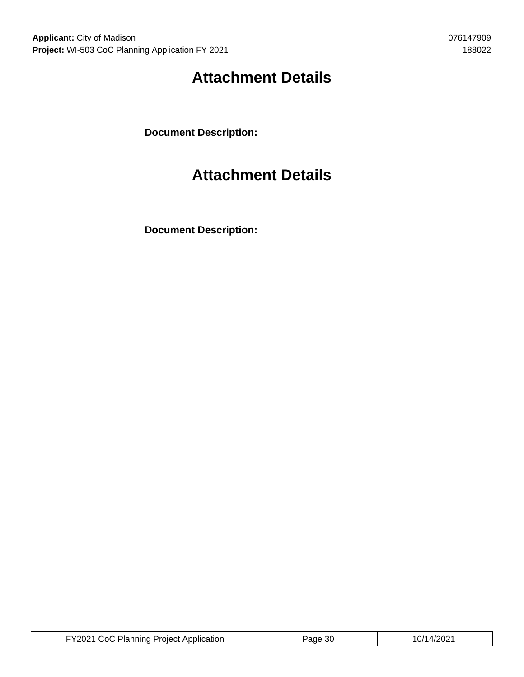# **Attachment Details**

**Document Description:**

## **Attachment Details**

**Document Description:**

| FY2021 CoC Planning Project Application | Page 30 | 10/14/2021 |
|-----------------------------------------|---------|------------|
|-----------------------------------------|---------|------------|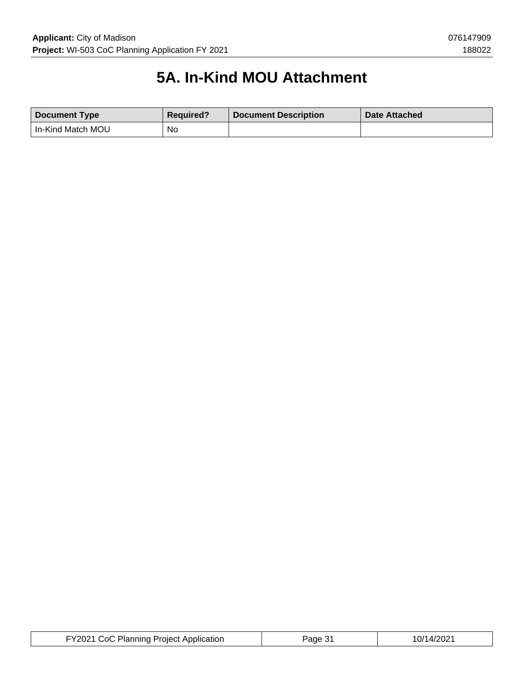# **5A. In-Kind MOU Attachment**

| Document Type       | <b>Required?</b> | <b>Document Description</b> | Date Attached |
|---------------------|------------------|-----------------------------|---------------|
| I In-Kind Match MOU | No               |                             |               |

| FY2021 CoC Planning Project Application | Page 31 | 10/14/2021 |
|-----------------------------------------|---------|------------|
|-----------------------------------------|---------|------------|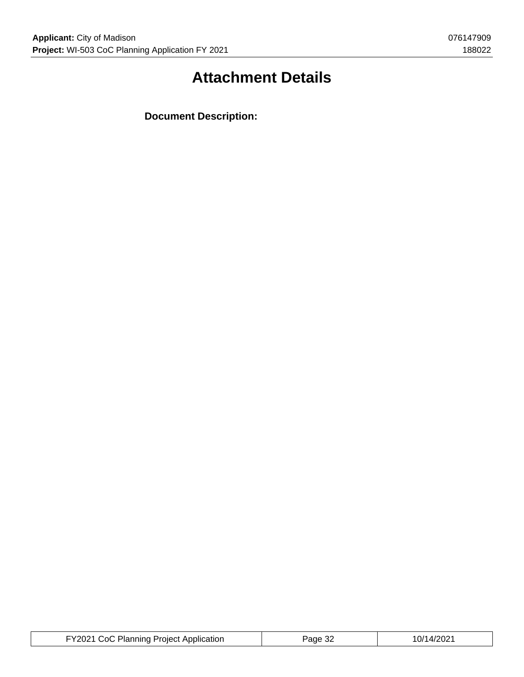# **Attachment Details**

**Document Description:**

| FY2021 CoC Planning Project Application | Page 32 | 10/14/2021 |
|-----------------------------------------|---------|------------|
|-----------------------------------------|---------|------------|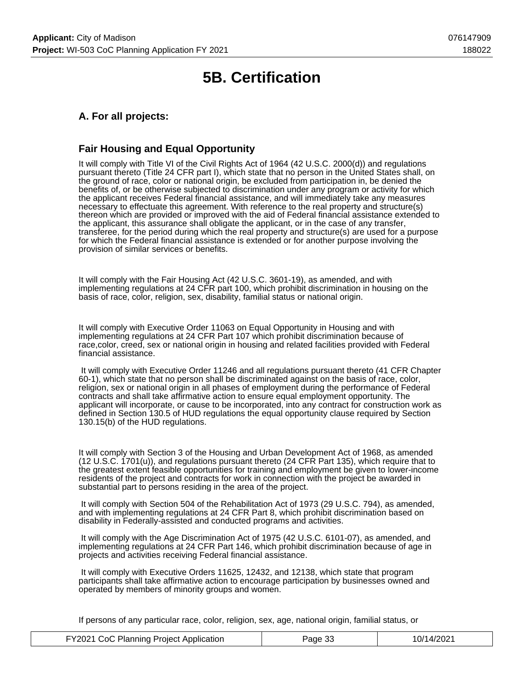## **5B. Certification**

### **A. For all projects:**

### **Fair Housing and Equal Opportunity**

It will comply with Title VI of the Civil Rights Act of 1964 (42 U.S.C. 2000(d)) and regulations pursuant thereto (Title 24 CFR part I), which state that no person in the United States shall, on the ground of race, color or national origin, be excluded from participation in, be denied the benefits of, or be otherwise subjected to discrimination under any program or activity for which the applicant receives Federal financial assistance, and will immediately take any measures necessary to effectuate this agreement. With reference to the real property and structure(s) thereon which are provided or improved with the aid of Federal financial assistance extended to the applicant, this assurance shall obligate the applicant, or in the case of any transfer, transferee, for the period during which the real property and structure(s) are used for a purpose for which the Federal financial assistance is extended or for another purpose involving the provision of similar services or benefits.

It will comply with the Fair Housing Act (42 U.S.C. 3601-19), as amended, and with implementing regulations at 24 CFR part 100, which prohibit discrimination in housing on the basis of race, color, religion, sex, disability, familial status or national origin.

It will comply with Executive Order 11063 on Equal Opportunity in Housing and with implementing regulations at 24 CFR Part 107 which prohibit discrimination because of race,color, creed, sex or national origin in housing and related facilities provided with Federal financial assistance.

 It will comply with Executive Order 11246 and all regulations pursuant thereto (41 CFR Chapter 60-1), which state that no person shall be discriminated against on the basis of race, color, religion, sex or national origin in all phases of employment during the performance of Federal contracts and shall take affirmative action to ensure equal employment opportunity. The applicant will incorporate, or cause to be incorporated, into any contract for construction work as defined in Section 130.5 of HUD regulations the equal opportunity clause required by Section 130.15(b) of the HUD regulations.

It will comply with Section 3 of the Housing and Urban Development Act of 1968, as amended (12 U.S.C. 1701(u)), and regulations pursuant thereto (24 CFR Part 135), which require that to the greatest extent feasible opportunities for training and employment be given to lower-income residents of the project and contracts for work in connection with the project be awarded in substantial part to persons residing in the area of the project.

 It will comply with Section 504 of the Rehabilitation Act of 1973 (29 U.S.C. 794), as amended, and with implementing regulations at 24 CFR Part 8, which prohibit discrimination based on disability in Federally-assisted and conducted programs and activities.

 It will comply with the Age Discrimination Act of 1975 (42 U.S.C. 6101-07), as amended, and implementing regulations at 24 CFR Part 146, which prohibit discrimination because of age in projects and activities receiving Federal financial assistance.

 It will comply with Executive Orders 11625, 12432, and 12138, which state that program participants shall take affirmative action to encourage participation by businesses owned and operated by members of minority groups and women.

If persons of any particular race, color, religion, sex, age, national origin, familial status, or

| FY2021 CoC Planning Project Application | Page 33 | 10/14/2021 |
|-----------------------------------------|---------|------------|
|-----------------------------------------|---------|------------|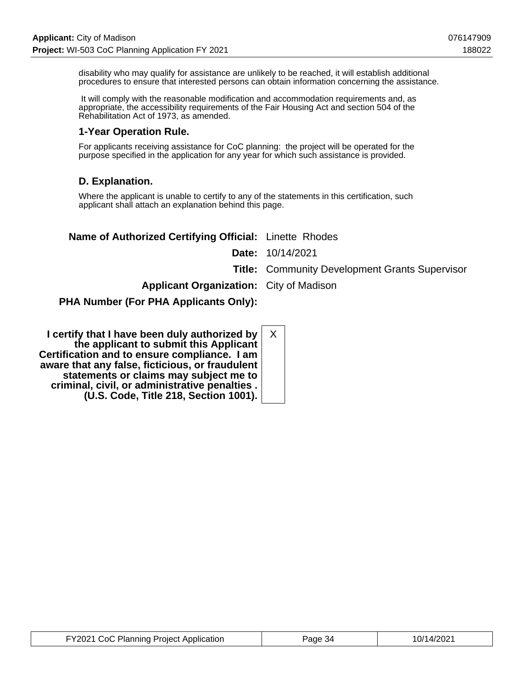disability who may qualify for assistance are unlikely to be reached, it will establish additional procedures to ensure that interested persons can obtain information concerning the assistance.

 It will comply with the reasonable modification and accommodation requirements and, as appropriate, the accessibility requirements of the Fair Housing Act and section 504 of the Rehabilitation Act of 1973, as amended.

### **1-Year Operation Rule.**

For applicants receiving assistance for CoC planning: the project will be operated for the purpose specified in the application for any year for which such assistance is provided.

### **D. Explanation.**

Where the applicant is unable to certify to any of the statements in this certification, such applicant shall attach an explanation behind this page.

| Name of Authorized Certifying Official: Linette Rhodes |                                                       |
|--------------------------------------------------------|-------------------------------------------------------|
|                                                        | <b>Date:</b> 10/14/2021                               |
|                                                        | <b>Title: Community Development Grants Supervisor</b> |
| <b>Applicant Organization:</b> City of Madison         |                                                       |
| <b>PHA Number (For PHA Applicants Only):</b>           |                                                       |

| Χ<br>I certify that I have been duly authorized by<br>the applicant to submit this Applicant<br>Certification and to ensure compliance. I am<br>aware that any false, ficticious, or fraudulent<br>statements or claims may subject me to<br>criminal, civil, or administrative penalties.<br>(U.S. Code, Title 218, Section 1001). |
|-------------------------------------------------------------------------------------------------------------------------------------------------------------------------------------------------------------------------------------------------------------------------------------------------------------------------------------|
|-------------------------------------------------------------------------------------------------------------------------------------------------------------------------------------------------------------------------------------------------------------------------------------------------------------------------------------|

| FY2021 CoC Planning Project Application | Page 34 | 10/14/2021 |
|-----------------------------------------|---------|------------|
|-----------------------------------------|---------|------------|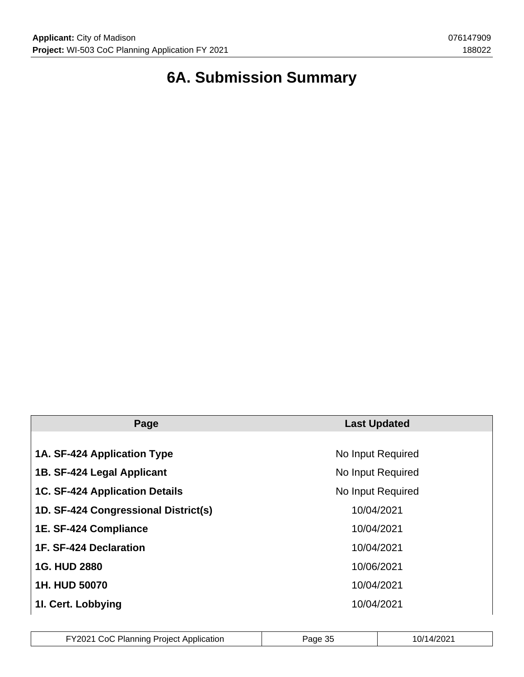# **6A. Submission Summary**

| Page                                  | <b>Last Updated</b> |  |  |
|---------------------------------------|---------------------|--|--|
|                                       |                     |  |  |
| 1A. SF-424 Application Type           | No Input Required   |  |  |
| 1B. SF-424 Legal Applicant            | No Input Required   |  |  |
| <b>1C. SF-424 Application Details</b> | No Input Required   |  |  |
| 1D. SF-424 Congressional District(s)  | 10/04/2021          |  |  |
| 1E. SF-424 Compliance                 | 10/04/2021          |  |  |
| 1F. SF-424 Declaration                | 10/04/2021          |  |  |
| <b>1G. HUD 2880</b>                   | 10/06/2021          |  |  |
| 1H. HUD 50070                         | 10/04/2021          |  |  |
| 11. Cert. Lobbying                    | 10/04/2021          |  |  |

| FY2021 CoC Planning Project Application | Page 35 | 10/14/2021 |
|-----------------------------------------|---------|------------|
|-----------------------------------------|---------|------------|